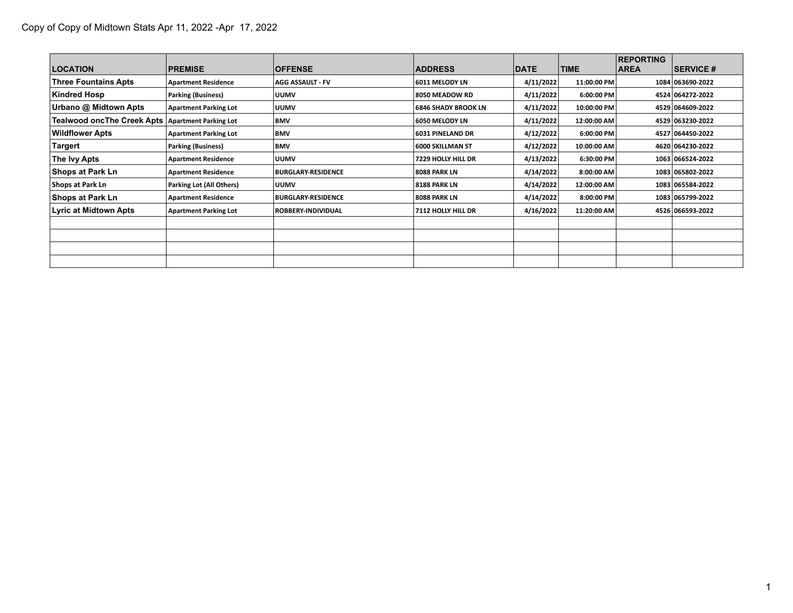| <b>LOCATION</b>                                  | <b>PREMISE</b>               | <b>OFFENSE</b>            | <b>ADDRESS</b>          | <b>DATE</b> | <b>TIME</b> | <b>REPORTING</b><br><b>AREA</b> | <b>SERVICE #</b> |
|--------------------------------------------------|------------------------------|---------------------------|-------------------------|-------------|-------------|---------------------------------|------------------|
| <b>Three Fountains Apts</b>                      | <b>Apartment Residence</b>   | <b>AGG ASSAULT - FV</b>   | 6011 MELODY LN          | 4/11/2022   | 11:00:00 PM |                                 | 1084 063690-2022 |
| Kindred Hosp                                     | <b>Parking (Business)</b>    | <b>UUMV</b>               | 8050 MEADOW RD          | 4/11/2022   | 6:00:00 PM  |                                 | 4524 064272-2022 |
| Urbano @ Midtown Apts                            | <b>Apartment Parking Lot</b> | <b>UUMV</b>               | 6846 SHADY BROOK LN     | 4/11/2022   | 10:00:00 PM |                                 | 4529 064609-2022 |
| Tealwood oncThe Creek Apts Apartment Parking Lot |                              | BMV                       | 6050 MELODY LN          | 4/11/2022   | 12:00:00 AM |                                 | 4529 063230-2022 |
| <b>Wildflower Apts</b>                           | <b>Apartment Parking Lot</b> | <b>BMV</b>                | <b>6031 PINELAND DR</b> | 4/12/2022   | 6:00:00 PM  |                                 | 4527 064450-2022 |
| Targert                                          | <b>Parking (Business)</b>    | <b>BMV</b>                | 6000 SKILLMAN ST        | 4/12/2022   | 10:00:00 AM |                                 | 4620 064230-2022 |
| The Ivy Apts                                     | <b>Apartment Residence</b>   | <b>UUMV</b>               | 7229 HOLLY HILL DR      | 4/13/2022   | 6:30:00 PM  |                                 | 1063 066524-2022 |
| <b>Shops at Park Ln</b>                          | <b>Apartment Residence</b>   | <b>BURGLARY-RESIDENCE</b> | 8088 PARK LN            | 4/14/2022   | 8:00:00 AM  |                                 | 1083 065802-2022 |
| Shops at Park Ln                                 | Parking Lot (All Others)     | <b>UUMV</b>               | <b>8188 PARK LN</b>     | 4/14/2022   | 12:00:00 AM |                                 | 1083 065584-2022 |
| <b>Shops at Park Ln</b>                          | <b>Apartment Residence</b>   | <b>BURGLARY-RESIDENCE</b> | <b>8088 PARK LN</b>     | 4/14/2022   | 8:00:00 PM  |                                 | 1083 065799-2022 |
| Lyric at Midtown Apts                            | <b>Apartment Parking Lot</b> | ROBBERY-INDIVIDUAL        | 7112 HOLLY HILL DR      | 4/16/2022   | 11:20:00 AM |                                 | 4526 066593-2022 |
|                                                  |                              |                           |                         |             |             |                                 |                  |
|                                                  |                              |                           |                         |             |             |                                 |                  |
|                                                  |                              |                           |                         |             |             |                                 |                  |
|                                                  |                              |                           |                         |             |             |                                 |                  |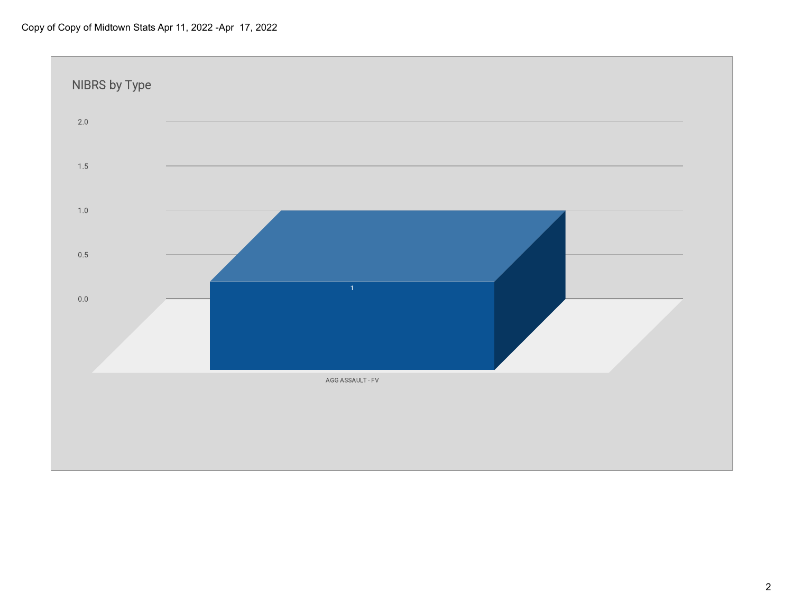## Copy of Copy of Midtown Stats Apr 11, 2022 -Apr 17, 2022

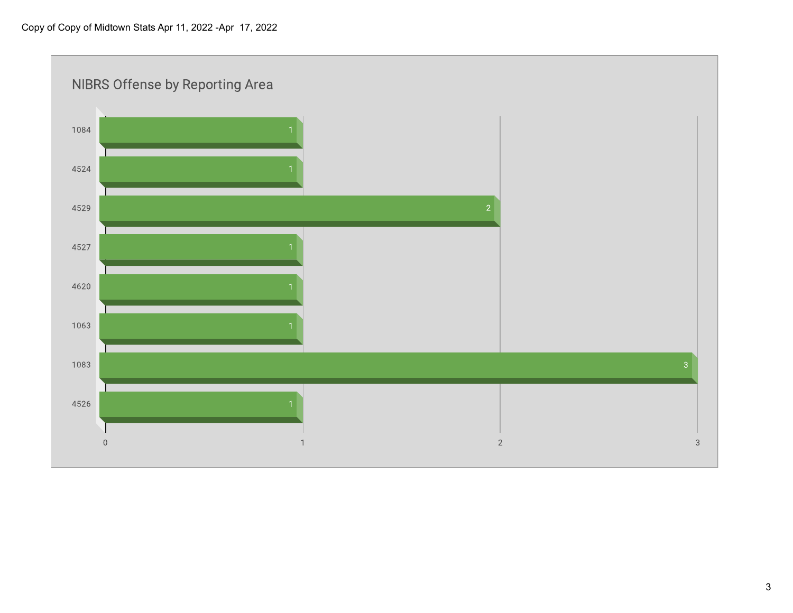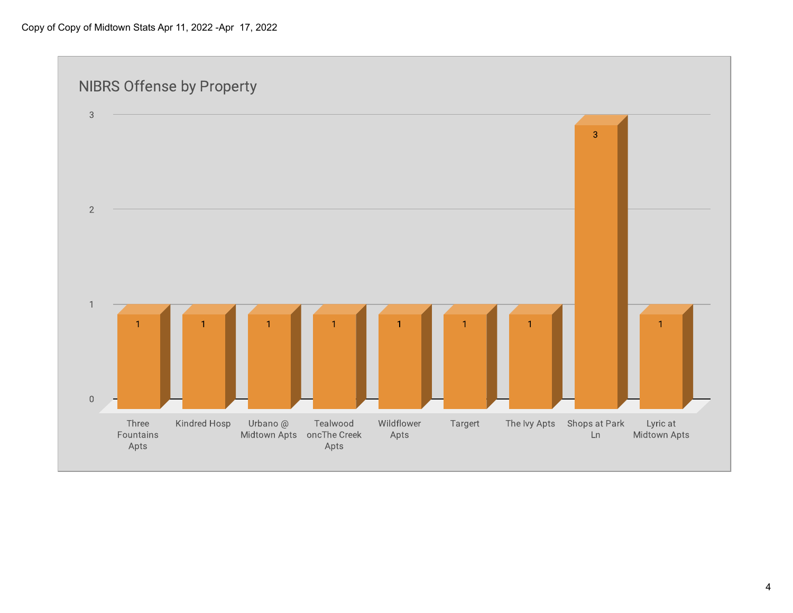